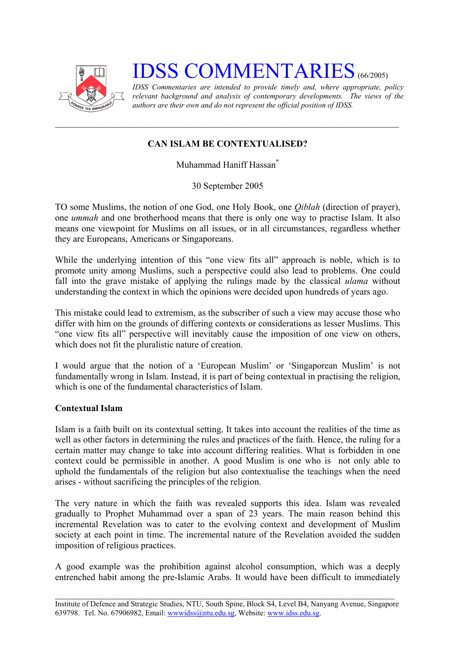

# **IDSS COMMENTARIES** (66/2005)

*IDSS Commentaries are intended to provide timely and, where appropriate, policy relevant background and analysis of contemporary developments. The views of the authors are their own and do not represent the official position of IDSS.* 

## **CAN ISLAM BE CONTEXTUALISED?**

Muhammad Haniff Hassa[n\\*](#page-2-0)

30 September 2005

TO some Muslims, the notion of one God, one Holy Book, one *Qiblah* (direction of prayer), one *ummah* and one brotherhood means that there is only one way to practise Islam. It also means one viewpoint for Muslims on all issues, or in all circumstances, regardless whether they are Europeans, Americans or Singaporeans.

While the underlying intention of this "one view fits all" approach is noble, which is to promote unity among Muslims, such a perspective could also lead to problems. One could fall into the grave mistake of applying the rulings made by the classical *ulama* without understanding the context in which the opinions were decided upon hundreds of years ago.

This mistake could lead to extremism, as the subscriber of such a view may accuse those who differ with him on the grounds of differing contexts or considerations as lesser Muslims. This "one view fits all" perspective will inevitably cause the imposition of one view on others, which does not fit the pluralistic nature of creation.

I would argue that the notion of a 'European Muslim' or 'Singaporean Muslim' is not fundamentally wrong in Islam. Instead, it is part of being contextual in practising the religion, which is one of the fundamental characteristics of Islam.

### **Contextual Islam**

Islam is a faith built on its contextual setting. It takes into account the realities of the time as well as other factors in determining the rules and practices of the faith. Hence, the ruling for a certain matter may change to take into account differing realities. What is forbidden in one context could be permissible in another. A good Muslim is one who is not only able to uphold the fundamentals of the religion but also contextualise the teachings when the need arises - without sacrificing the principles of the religion.

The very nature in which the faith was revealed supports this idea. Islam was revealed gradually to Prophet Muhammad over a span of 23 years. The main reason behind this incremental Revelation was to cater to the evolving context and development of Muslim society at each point in time. The incremental nature of the Revelation avoided the sudden imposition of religious practices.

A good example was the prohibition against alcohol consumption, which was a deeply entrenched habit among the pre-Islamic Arabs. It would have been difficult to immediately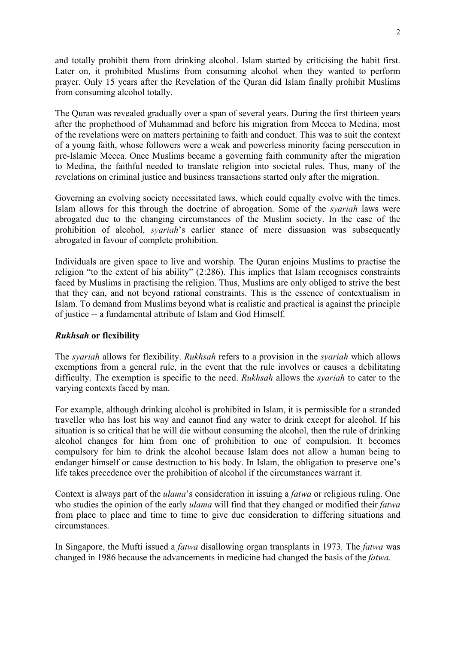and totally prohibit them from drinking alcohol. Islam started by criticising the habit first. Later on, it prohibited Muslims from consuming alcohol when they wanted to perform prayer. Only 15 years after the Revelation of the Quran did Islam finally prohibit Muslims from consuming alcohol totally.

The Quran was revealed gradually over a span of several years. During the first thirteen years after the prophethood of Muhammad and before his migration from Mecca to Medina, most of the revelations were on matters pertaining to faith and conduct. This was to suit the context of a young faith, whose followers were a weak and powerless minority facing persecution in pre-Islamic Mecca. Once Muslims became a governing faith community after the migration to Medina, the faithful needed to translate religion into societal rules. Thus, many of the revelations on criminal justice and business transactions started only after the migration.

Governing an evolving society necessitated laws, which could equally evolve with the times. Islam allows for this through the doctrine of abrogation. Some of the *syariah* laws were abrogated due to the changing circumstances of the Muslim society. In the case of the prohibition of alcohol, *syariah*'s earlier stance of mere dissuasion was subsequently abrogated in favour of complete prohibition.

Individuals are given space to live and worship. The Quran enjoins Muslims to practise the religion "to the extent of his ability" (2:286). This implies that Islam recognises constraints faced by Muslims in practising the religion. Thus, Muslims are only obliged to strive the best that they can, and not beyond rational constraints. This is the essence of contextualism in Islam. To demand from Muslims beyond what is realistic and practical is against the principle of justice -- a fundamental attribute of Islam and God Himself.

### *Rukhsah* **or flexibility**

The *syariah* allows for flexibility. *Rukhsah* refers to a provision in the *syariah* which allows exemptions from a general rule, in the event that the rule involves or causes a debilitating difficulty. The exemption is specific to the need. *Rukhsah* allows the *syariah* to cater to the varying contexts faced by man.

For example, although drinking alcohol is prohibited in Islam, it is permissible for a stranded traveller who has lost his way and cannot find any water to drink except for alcohol. If his situation is so critical that he will die without consuming the alcohol, then the rule of drinking alcohol changes for him from one of prohibition to one of compulsion. It becomes compulsory for him to drink the alcohol because Islam does not allow a human being to endanger himself or cause destruction to his body. In Islam, the obligation to preserve one's life takes precedence over the prohibition of alcohol if the circumstances warrant it.

Context is always part of the *ulama*'s consideration in issuing a *fatwa* or religious ruling. One who studies the opinion of the early *ulama* will find that they changed or modified their *fatwa* from place to place and time to time to give due consideration to differing situations and circumstances.

In Singapore, the Mufti issued a *fatwa* disallowing organ transplants in 1973. The *fatwa* was changed in 1986 because the advancements in medicine had changed the basis of the *fatwa.*